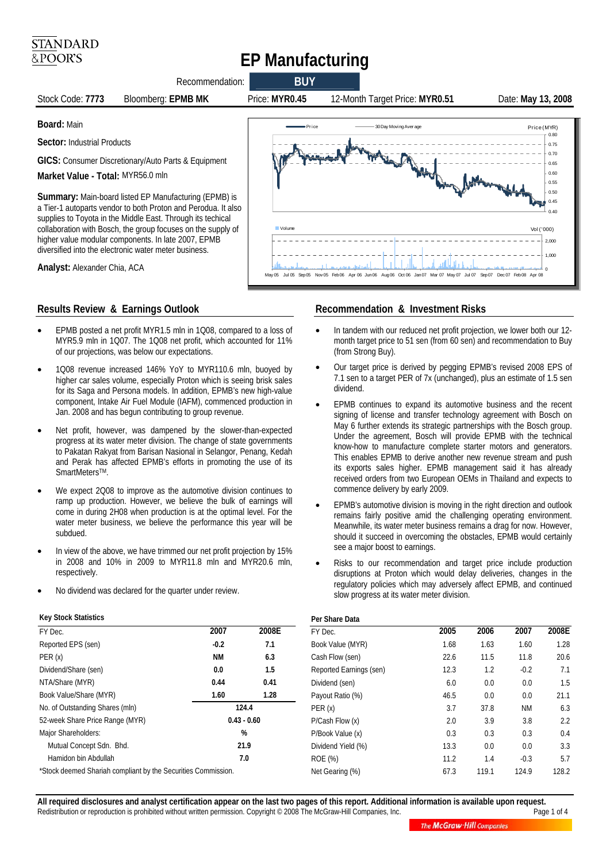# **EP Manufacturing**



## **Results Review & Earnings Outlook**

**STANDARD** &POOR'S

- EPMB posted a net profit MYR1.5 mln in 1Q08, compared to a loss of MYR5.9 mln in 1Q07. The 1Q08 net profit, which accounted for 11% of our projections, was below our expectations.
- 1Q08 revenue increased 146% YoY to MYR110.6 mln, buoyed by higher car sales volume, especially Proton which is seeing brisk sales for its Saga and Persona models. In addition, EPMB's new high-value component, Intake Air Fuel Module (IAFM), commenced production in Jan. 2008 and has begun contributing to group revenue.
- Net profit, however, was dampened by the slower-than-expected progress at its water meter division. The change of state governments to Pakatan Rakyat from Barisan Nasional in Selangor, Penang, Kedah and Perak has affected EPMB's efforts in promoting the use of its SmartMeters<sup>™</sup>.
- We expect 2Q08 to improve as the automotive division continues to ramp up production. However, we believe the bulk of earnings will come in during 2H08 when production is at the optimal level. For the water meter business, we believe the performance this year will be subdued.
- In view of the above, we have trimmed our net profit projection by 15% in 2008 and 10% in 2009 to MYR11.8 mln and MYR20.6 mln, respectively.
- No dividend was declared for the quarter under review.

#### **Key Stock Statistics**

| FY Dec.                                                       | 2008E<br>2007    |      |  |
|---------------------------------------------------------------|------------------|------|--|
| Reported EPS (sen)                                            | 7.1              |      |  |
| PER(x)                                                        | <b>NM</b><br>6.3 |      |  |
| Dividend/Share (sen)                                          | 0.0<br>1.5       |      |  |
| NTA/Share (MYR)                                               | 0.44             | 0.41 |  |
| Book Value/Share (MYR)                                        | 1.28<br>1.60     |      |  |
| No. of Outstanding Shares (mln)                               | 124.4            |      |  |
| 52-week Share Price Range (MYR)                               | $0.43 - 0.60$    |      |  |
| Major Shareholders:                                           | %                |      |  |
| Mutual Concept Sdn. Bhd.                                      | 21.9             |      |  |
| Hamidon bin Abdullah                                          | 7.0              |      |  |
| *Stock deemed Shariah compliant by the Securities Commission. |                  |      |  |

### **Recommendation & Investment Risks**

- In tandem with our reduced net profit projection, we lower both our 12 month target price to 51 sen (from 60 sen) and recommendation to Buy (from Strong Buy).
- Our target price is derived by pegging EPMB's revised 2008 EPS of 7.1 sen to a target PER of 7x (unchanged), plus an estimate of 1.5 sen dividend.
- EPMB continues to expand its automotive business and the recent signing of license and transfer technology agreement with Bosch on May 6 further extends its strategic partnerships with the Bosch group. Under the agreement, Bosch will provide EPMB with the technical know-how to manufacture complete starter motors and generators. This enables EPMB to derive another new revenue stream and push its exports sales higher. EPMB management said it has already received orders from two European OEMs in Thailand and expects to commence delivery by early 2009.
- EPMB's automotive division is moving in the right direction and outlook remains fairly positive amid the challenging operating environment. Meanwhile, its water meter business remains a drag for now. However, should it succeed in overcoming the obstacles, EPMB would certainly see a major boost to earnings.
- Risks to our recommendation and target price include production disruptions at Proton which would delay deliveries, changes in the regulatory policies which may adversely affect EPMB, and continued slow progress at its water meter division.

| Per Share Data          |      |       |           |       |
|-------------------------|------|-------|-----------|-------|
| FY Dec.                 | 2005 | 2006  | 2007      | 2008E |
| Book Value (MYR)        | 1.68 | 1.63  | 1.60      | 1.28  |
| Cash Flow (sen)         | 22.6 | 11.5  | 11.8      | 20.6  |
| Reported Earnings (sen) | 12.3 | 1.2   | $-0.2$    | 7.1   |
| Dividend (sen)          | 6.0  | 0.0   | 0.0       | 1.5   |
| Payout Ratio (%)        | 46.5 | 0.0   | 0.0       | 21.1  |
| PER(x)                  | 3.7  | 37.8  | <b>NM</b> | 6.3   |
| P/Cash Flow (x)         | 2.0  | 3.9   | 3.8       | 2.2   |
| P/Book Value (x)        | 0.3  | 0.3   | 0.3       | 0.4   |
| Dividend Yield (%)      | 13.3 | 0.0   | 0.0       | 3.3   |
| ROE (%)                 | 11.2 | 1.4   | $-0.3$    | 5.7   |
| Net Gearing (%)         | 67.3 | 119.1 | 124.9     | 128.2 |

**All required disclosures and analyst certification appear on the last two pages of this report. Additional information is available upon request.** Redistribution or reproduction is prohibited without written permission. Copyright © 2008 The McGraw-Hill Companies, Inc.

**The McGraw Hill Companies**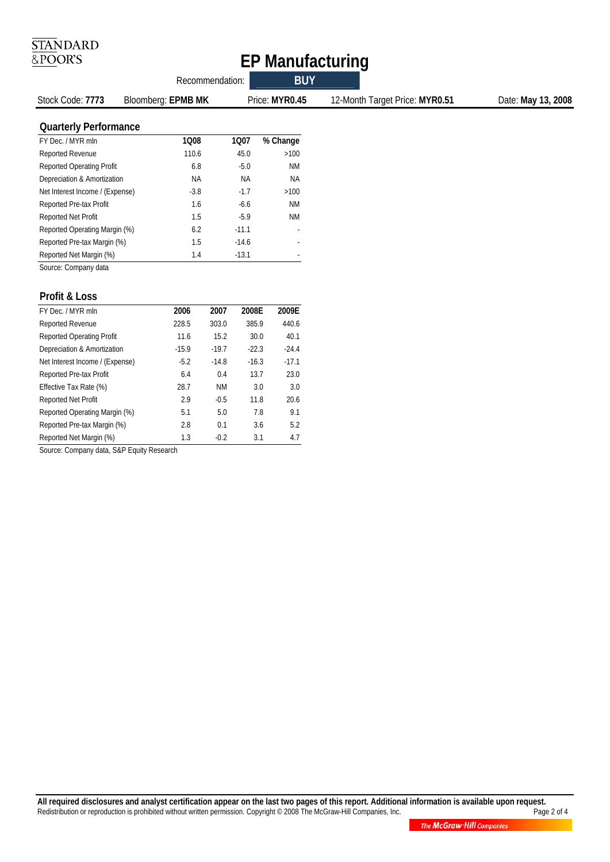## **EP Manufacturing**

|                                  | Recommendation:    |           | <b>BUY</b>               |                                |                    |
|----------------------------------|--------------------|-----------|--------------------------|--------------------------------|--------------------|
| Stock Code: 7773                 | Bloomberg: EPMB MK |           | Price: MYR0.45           | 12-Month Target Price: MYR0.51 | Date: May 13, 2008 |
| <b>Quarterly Performance</b>     |                    |           |                          |                                |                    |
| FY Dec. / MYR mln                | 1Q08               | 1007      | % Change                 |                                |                    |
| <b>Reported Revenue</b>          | 110.6              | 45.0      | >100                     |                                |                    |
| <b>Reported Operating Profit</b> | 6.8                | $-5.0$    | ΝM                       |                                |                    |
| Depreciation & Amortization      | <b>NA</b>          | <b>NA</b> | <b>NA</b>                |                                |                    |
| Net Interest Income / (Expense)  | $-3.8$             | $-1.7$    | >100                     |                                |                    |
| Reported Pre-tax Profit          | 1.6                | $-6.6$    | <b>NM</b>                |                                |                    |
| Reported Net Profit              | 1.5                | $-5.9$    | <b>NM</b>                |                                |                    |
| Reported Operating Margin (%)    | 6.2                | $-11.1$   | $\overline{\phantom{a}}$ |                                |                    |
| Reported Pre-tax Margin (%)      | 1.5                | $-14.6$   | $\overline{\phantom{a}}$ |                                |                    |
| Reported Net Margin (%)          | 1.4                | $-13.1$   | $\overline{\phantom{a}}$ |                                |                    |

Source: Company data

### **Profit & Loss**

 $\frac{\overline{\text{STA}}\text{NDARD}}{\underline{\& \text{PO}}\text{OR'S}}$ 

| FY Dec. / MYR mln                | 2006    | 2007      | 2008E   | 2009E   |
|----------------------------------|---------|-----------|---------|---------|
| Reported Revenue                 | 228.5   | 303.0     | 385.9   | 440.6   |
| <b>Reported Operating Profit</b> | 11.6    | 15.2      | 30.0    | 40.1    |
| Depreciation & Amortization      | $-15.9$ | $-19.7$   | $-22.3$ | $-24.4$ |
| Net Interest Income / (Expense)  | $-5.2$  | $-14.8$   | $-16.3$ | $-17.1$ |
| Reported Pre-tax Profit          | 6.4     | 0.4       | 13.7    | 23.0    |
| Effective Tax Rate (%)           | 28.7    | <b>NM</b> | 3.0     | 3.0     |
| Reported Net Profit              | 2.9     | $-0.5$    | 11.8    | 20.6    |
| Reported Operating Margin (%)    | 5.1     | 5.0       | 7.8     | 9.1     |
| Reported Pre-tax Margin (%)      | 2.8     | 0.1       | 3.6     | 5.2     |
| Reported Net Margin (%)          | 1.3     | $-0.2$    | 3.1     | 4.7     |

Source: Company data, S&P Equity Research

All required disclosures and analyst certification appear on the last two pages of this report. Additional information is available upon request.<br>Redistribution or reproduction is prohibited without written permission. Cop Redistribution or reproduction is prohibited without written permission. Copyright © 2008 The McGraw-Hill Companies, Inc.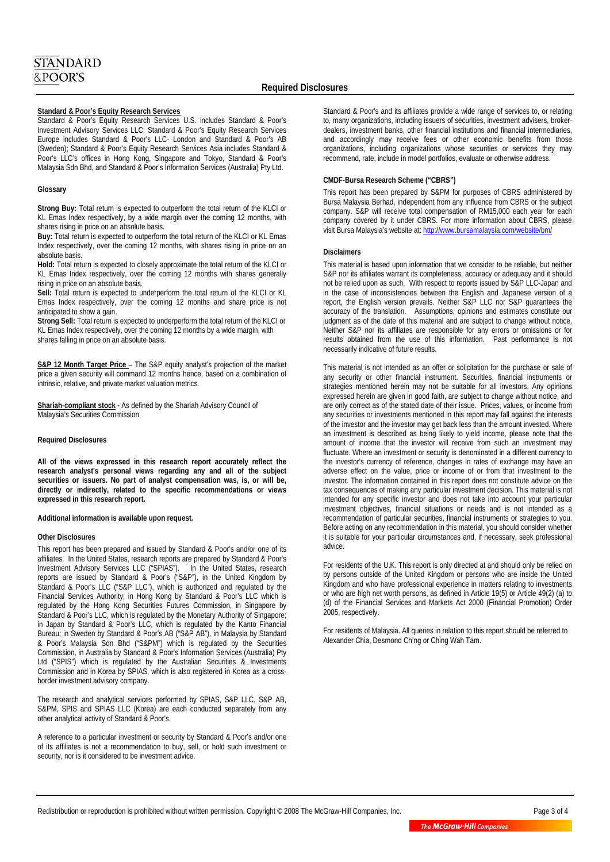#### **Standard & Poor's Equity Research Services**

Standard & Poor's Equity Research Services U.S. includes Standard & Poor's Investment Advisory Services LLC; Standard & Poor's Equity Research Services Europe includes Standard & Poor's LLC- London and Standard & Poor's AB (Sweden); Standard & Poor's Equity Research Services Asia includes Standard & Poor's LLC's offices in Hong Kong, Singapore and Tokyo, Standard & Poor's Malaysia Sdn Bhd, and Standard & Poor's Information Services (Australia) Pty Ltd.

#### **Glossary**

**Strong Buy:** Total return is expected to outperform the total return of the KLCI or KL Emas Index respectively, by a wide margin over the coming 12 months, with shares rising in price on an absolute basis.

**Buy:** Total return is expected to outperform the total return of the KLCI or KL Emas Index respectively, over the coming 12 months, with shares rising in price on an absolute basis.

**Hold:** Total return is expected to closely approximate the total return of the KLCI or KL Emas Index respectively, over the coming 12 months with shares generally rising in price on an absolute basis.

**Sell:** Total return is expected to underperform the total return of the KLCI or KL Emas Index respectively, over the coming 12 months and share price is not anticipated to show a gain.

**Strong Sell:** Total return is expected to underperform the total return of the KLCI or KL Emas Index respectively, over the coming 12 months by a wide margin, with shares falling in price on an absolute basis.

**S&P 12 Month Target Price** – The S&P equity analyst's projection of the market price a given security will command 12 months hence, based on a combination of intrinsic, relative, and private market valuation metrics.

**Shariah-compliant stock -** As defined by the Shariah Advisory Council of Malaysia's Securities Commission

#### **Required Disclosures**

**All of the views expressed in this research report accurately reflect the research analyst's personal views regarding any and all of the subject securities or issuers. No part of analyst compensation was, is, or will be, directly or indirectly, related to the specific recommendations or views expressed in this research report.** 

**Additional information is available upon request.** 

#### **Other Disclosures**

This report has been prepared and issued by Standard & Poor's and/or one of its affiliates. In the United States, research reports are prepared by Standard & Poor's Investment Advisory Services LLC ("SPIAS"). In the United States, research reports are issued by Standard & Poor's ("S&P"), in the United Kingdom by Standard & Poor's LLC ("S&P LLC"), which is authorized and regulated by the Financial Services Authority; in Hong Kong by Standard & Poor's LLC which is regulated by the Hong Kong Securities Futures Commission, in Singapore by Standard & Poor's LLC, which is regulated by the Monetary Authority of Singapore; in Japan by Standard & Poor's LLC, which is regulated by the Kanto Financial Bureau; in Sweden by Standard & Poor's AB ("S&P AB"), in Malaysia by Standard & Poor's Malaysia Sdn Bhd ("S&PM") which is regulated by the Securities Commission, in Australia by Standard & Poor's Information Services (Australia) Pty Ltd ("SPIS") which is regulated by the Australian Securities & Investments Commission and in Korea by SPIAS, which is also registered in Korea as a crossborder investment advisory company.

The research and analytical services performed by SPIAS, S&P LLC, S&P AB, S&PM, SPIS and SPIAS LLC (Korea) are each conducted separately from any other analytical activity of Standard & Poor's.

A reference to a particular investment or security by Standard & Poor's and/or one of its affiliates is not a recommendation to buy, sell, or hold such investment or security, nor is it considered to be investment advice.

Standard & Poor's and its affiliates provide a wide range of services to, or relating to, many organizations, including issuers of securities, investment advisers, brokerdealers, investment banks, other financial institutions and financial intermediaries, and accordingly may receive fees or other economic benefits from those organizations, including organizations whose securities or services they may recommend, rate, include in model portfolios, evaluate or otherwise address.

#### **CMDF-Bursa Research Scheme ("CBRS")**

This report has been prepared by S&PM for purposes of CBRS administered by Bursa Malaysia Berhad, independent from any influence from CBRS or the subject company. S&P will receive total compensation of RM15,000 each year for each company covered by it under CBRS. For more information about CBRS, please visit Bursa Malaysia's website at: http://www.bursamalaysia.com/website/bm/

#### **Disclaimers**

This material is based upon information that we consider to be reliable, but neither S&P nor its affiliates warrant its completeness, accuracy or adequacy and it should not be relied upon as such. With respect to reports issued by S&P LLC-Japan and in the case of inconsistencies between the English and Japanese version of a report, the English version prevails. Neither S&P LLC nor S&P guarantees the accuracy of the translation. Assumptions, opinions and estimates constitute our judgment as of the date of this material and are subject to change without notice. Neither S&P nor its affiliates are responsible for any errors or omissions or for results obtained from the use of this information. Past performance is not necessarily indicative of future results.

This material is not intended as an offer or solicitation for the purchase or sale of any security or other financial instrument. Securities, financial instruments or strategies mentioned herein may not be suitable for all investors. Any opinions expressed herein are given in good faith, are subject to change without notice, and are only correct as of the stated date of their issue. Prices, values, or income from any securities or investments mentioned in this report may fall against the interests of the investor and the investor may get back less than the amount invested. Where an investment is described as being likely to yield income, please note that the amount of income that the investor will receive from such an investment may fluctuate. Where an investment or security is denominated in a different currency to the investor's currency of reference, changes in rates of exchange may have an adverse effect on the value, price or income of or from that investment to the investor. The information contained in this report does not constitute advice on the tax consequences of making any particular investment decision. This material is not intended for any specific investor and does not take into account your particular investment objectives, financial situations or needs and is not intended as a recommendation of particular securities, financial instruments or strategies to you. Before acting on any recommendation in this material, you should consider whether it is suitable for your particular circumstances and, if necessary, seek professional advice.

For residents of the U.K. This report is only directed at and should only be relied on by persons outside of the United Kingdom or persons who are inside the United Kingdom and who have professional experience in matters relating to investments or who are high net worth persons, as defined in Article 19(5) or Article 49(2) (a) to (d) of the Financial Services and Markets Act 2000 (Financial Promotion) Order 2005, respectively.

For residents of Malaysia. All queries in relation to this report should be referred to Alexander Chia, Desmond Ch'ng or Ching Wah Tam.